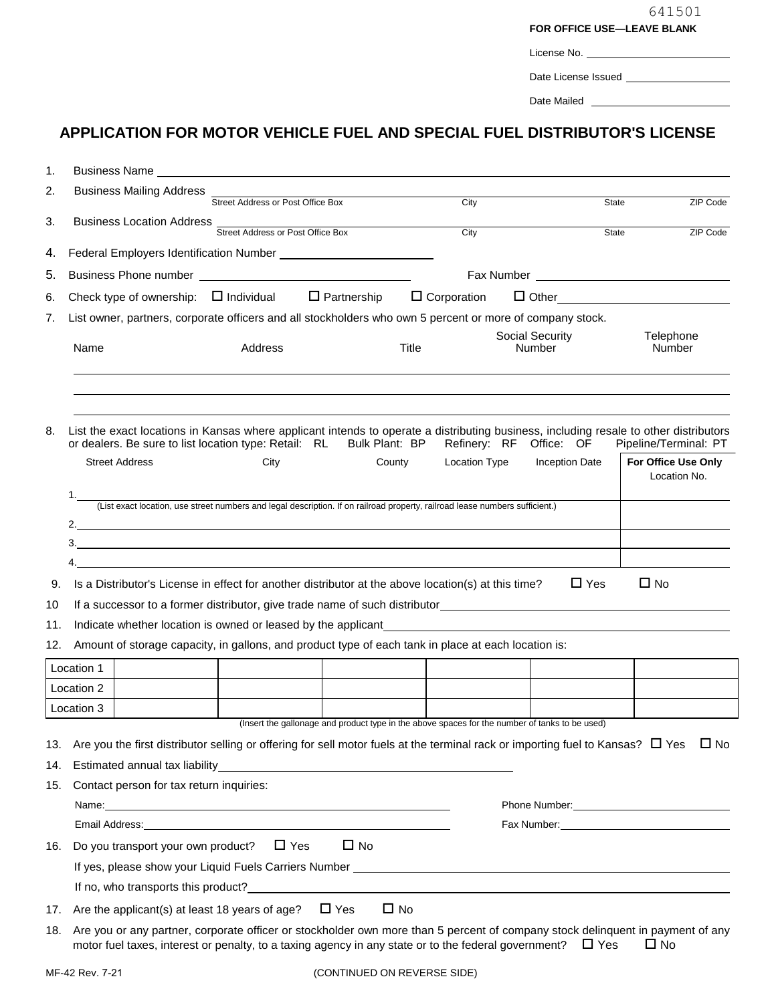| 641501         |
|----------------|
| E—LEAVE BLANK: |

|  | <b>FOR OFFICE USE-LEAVE BLANK</b> |  |  |  |
|--|-----------------------------------|--|--|--|
|--|-----------------------------------|--|--|--|

| License No. |  |
|-------------|--|
|             |  |

Date License Issued \_\_\_\_\_\_\_\_\_\_\_

Date Mailed

## **APPLICATION FOR MOTOR VEHICLE FUEL AND SPECIAL FUEL DISTRIBUTOR'S LICENSE**

| 1.  | Business Name <b>contract the contract of the contract of the contract of the contract of the contract of the contract of the contract of the contract of the contract of the contract of the contract of the contract of the co</b>   |                                   |                                                                                                |           |                      |                                  |                                     |
|-----|----------------------------------------------------------------------------------------------------------------------------------------------------------------------------------------------------------------------------------------|-----------------------------------|------------------------------------------------------------------------------------------------|-----------|----------------------|----------------------------------|-------------------------------------|
| 2.  | Business Mailing Address _                                                                                                                                                                                                             | Street Address or Post Office Box |                                                                                                |           | City                 |                                  |                                     |
| 3.  |                                                                                                                                                                                                                                        |                                   |                                                                                                |           |                      |                                  | ZIP Code<br>State                   |
|     | Business Location Address Street Address or Post Office Box                                                                                                                                                                            |                                   |                                                                                                |           | City                 |                                  | State<br>ZIP Code                   |
| 4.  |                                                                                                                                                                                                                                        |                                   |                                                                                                |           |                      |                                  |                                     |
| 5.  |                                                                                                                                                                                                                                        |                                   |                                                                                                |           |                      |                                  |                                     |
| 6.  | Check type of ownership: $\Box$ Individual $\Box$ Partnership $\Box$ Corporation                                                                                                                                                       |                                   |                                                                                                |           |                      |                                  | $\Box$ Other $\Box$                 |
| 7.  | List owner, partners, corporate officers and all stockholders who own 5 percent or more of company stock.                                                                                                                              |                                   |                                                                                                |           |                      |                                  |                                     |
|     | Name                                                                                                                                                                                                                                   | Address                           |                                                                                                | Title     |                      | Social Security<br><b>Number</b> | Telephone<br>Number                 |
|     |                                                                                                                                                                                                                                        |                                   |                                                                                                |           |                      |                                  |                                     |
|     |                                                                                                                                                                                                                                        |                                   |                                                                                                |           |                      |                                  |                                     |
|     |                                                                                                                                                                                                                                        |                                   |                                                                                                |           |                      |                                  |                                     |
| 8.  | List the exact locations in Kansas where applicant intends to operate a distributing business, including resale to other distributors                                                                                                  |                                   |                                                                                                |           |                      |                                  |                                     |
|     | or dealers. Be sure to list location type: Retail: RL Bulk Plant: BP                                                                                                                                                                   |                                   |                                                                                                |           |                      | Refinery: RF Office: OF          | Pipeline/Terminal: PT               |
|     | <b>Street Address</b>                                                                                                                                                                                                                  | City                              |                                                                                                | County    | <b>Location Type</b> | <b>Inception Date</b>            | For Office Use Only<br>Location No. |
|     | (List exact location, use street numbers and legal description. If on railroad property, railroad lease numbers sufficient.)                                                                                                           |                                   |                                                                                                |           |                      |                                  |                                     |
|     |                                                                                                                                                                                                                                        |                                   |                                                                                                |           |                      |                                  |                                     |
|     |                                                                                                                                                                                                                                        |                                   |                                                                                                |           |                      |                                  |                                     |
|     | 4.                                                                                                                                                                                                                                     |                                   |                                                                                                |           |                      |                                  |                                     |
| 9.  | Is a Distributor's License in effect for another distributor at the above location(s) at this time?                                                                                                                                    |                                   |                                                                                                |           |                      | $\Box$ Yes                       | $\Box$ No                           |
| 10  | If a successor to a former distributor, give trade name of such distributor expansion of the successor to a former distributor, give trade name of such distributor                                                                    |                                   |                                                                                                |           |                      |                                  |                                     |
| 11. | Indicate whether location is owned or leased by the applicant experience of the state of the state of the state of the state of the state of the state of the state of the state of the state of the state of the state of the         |                                   |                                                                                                |           |                      |                                  |                                     |
| 12. | Amount of storage capacity, in gallons, and product type of each tank in place at each location is:                                                                                                                                    |                                   |                                                                                                |           |                      |                                  |                                     |
|     | Location 1                                                                                                                                                                                                                             |                                   |                                                                                                |           |                      |                                  |                                     |
|     | Location 2                                                                                                                                                                                                                             |                                   |                                                                                                |           |                      |                                  |                                     |
|     | Location 3                                                                                                                                                                                                                             |                                   |                                                                                                |           |                      |                                  |                                     |
|     |                                                                                                                                                                                                                                        |                                   | (Insert the gallonage and product type in the above spaces for the number of tanks to be used) |           |                      |                                  |                                     |
| 13. | Are you the first distributor selling or offering for sell motor fuels at the terminal rack or importing fuel to Kansas? $\Box$ Yes $\Box$ No                                                                                          |                                   |                                                                                                |           |                      |                                  |                                     |
| 14. | Estimated annual tax liability example and the state of the state of the state of the state of the state of the state of the state of the state of the state of the state of the state of the state of the state of the state          |                                   |                                                                                                |           |                      |                                  |                                     |
| 15. | Contact person for tax return inquiries:                                                                                                                                                                                               |                                   |                                                                                                |           |                      |                                  |                                     |
|     | Name: <u>Contract Communication</u> Contract Communication Communication Communication Communication Communication                                                                                                                     |                                   |                                                                                                |           |                      |                                  |                                     |
|     | Email Address: No. 1996. The Contract of the Contract of the Contract of the Contract of the Contract of the Contract of the Contract of the Contract of the Contract of the Contract of the Contract of the Contract of the C         |                                   |                                                                                                |           |                      |                                  | Fax Number: 1997                    |
| 16. | Do you transport your own product? $\Box$ Yes                                                                                                                                                                                          |                                   | $\Box$ No                                                                                      |           |                      |                                  |                                     |
|     |                                                                                                                                                                                                                                        |                                   |                                                                                                |           |                      |                                  |                                     |
|     | If no, who transports this product?<br><u>If</u> no, who transports this product?                                                                                                                                                      |                                   |                                                                                                |           |                      |                                  |                                     |
| 17. | Are the applicant(s) at least 18 years of age?                                                                                                                                                                                         |                                   | $\Box$ Yes                                                                                     | $\Box$ No |                      |                                  |                                     |
| 18. | Are you or any partner, corporate officer or stockholder own more than 5 percent of company stock delinquent in payment of any<br>motor fuel taxes, interest or penalty, to a taxing agency in any state or to the federal government? |                                   |                                                                                                |           |                      | $\Box$ Yes                       | $\square$ No                        |